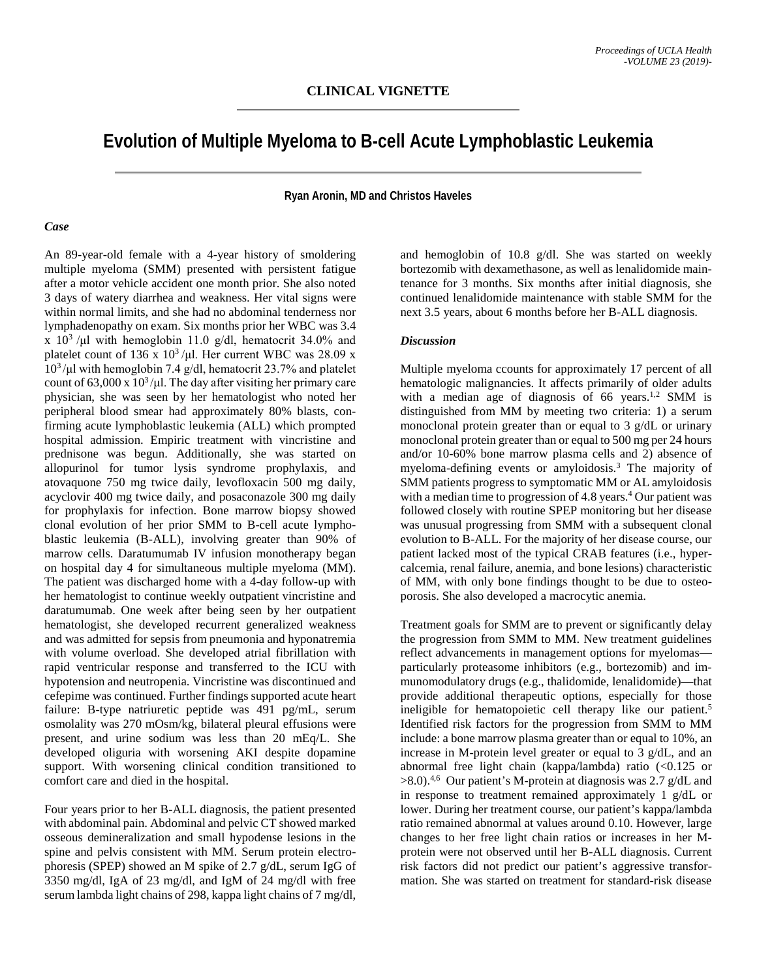## **Evolution of Multiple Myeloma to B-cell Acute Lymphoblastic Leukemia**

**Ryan Aronin, MD and Christos Haveles**

## *Case*

An 89-year-old female with a 4-year history of smoldering multiple myeloma (SMM) presented with persistent fatigue after a motor vehicle accident one month prior. She also noted 3 days of watery diarrhea and weakness. Her vital signs were within normal limits, and she had no abdominal tenderness nor lymphadenopathy on exam. Six months prior her WBC was 3.4 x  $10^3$  /µl with hemoglobin 11.0 g/dl, hematocrit 34.0% and platelet count of 136 x  $10^3$ /μl. Her current WBC was 28.09 x 103 /μl with hemoglobin 7.4 g/dl, hematocrit 23.7% and platelet count of 63,000 x  $10^3/\mu$ . The day after visiting her primary care physician, she was seen by her hematologist who noted her peripheral blood smear had approximately 80% blasts, confirming acute lymphoblastic leukemia (ALL) which prompted hospital admission. Empiric treatment with vincristine and prednisone was begun. Additionally, she was started on allopurinol for tumor lysis syndrome prophylaxis, and atovaquone 750 mg twice daily, levofloxacin 500 mg daily, acyclovir 400 mg twice daily, and posaconazole 300 mg daily for prophylaxis for infection. Bone marrow biopsy showed clonal evolution of her prior SMM to B-cell acute lymphoblastic leukemia (B-ALL), involving greater than 90% of marrow cells. Daratumumab IV infusion monotherapy began on hospital day 4 for simultaneous multiple myeloma (MM). The patient was discharged home with a 4-day follow-up with her hematologist to continue weekly outpatient vincristine and daratumumab. One week after being seen by her outpatient hematologist, she developed recurrent generalized weakness and was admitted for sepsis from pneumonia and hyponatremia with volume overload. She developed atrial fibrillation with rapid ventricular response and transferred to the ICU with hypotension and neutropenia. Vincristine was discontinued and cefepime was continued. Further findings supported acute heart failure: B-type natriuretic peptide was 491 pg/mL, serum osmolality was 270 mOsm/kg, bilateral pleural effusions were present, and urine sodium was less than 20 mEq/L. She developed oliguria with worsening AKI despite dopamine support. With worsening clinical condition transitioned to comfort care and died in the hospital.

Four years prior to her B-ALL diagnosis, the patient presented with abdominal pain. Abdominal and pelvic CT showed marked osseous demineralization and small hypodense lesions in the spine and pelvis consistent with MM. Serum protein electrophoresis (SPEP) showed an M spike of 2.7 g/dL, serum IgG of 3350 mg/dl, IgA of 23 mg/dl, and IgM of 24 mg/dl with free serum lambda light chains of 298, kappa light chains of 7 mg/dl,

and hemoglobin of 10.8 g/dl. She was started on weekly bortezomib with dexamethasone, as well as lenalidomide maintenance for 3 months. Six months after initial diagnosis, she continued lenalidomide maintenance with stable SMM for the next 3.5 years, about 6 months before her B-ALL diagnosis.

## *Discussion*

Multiple myeloma ccounts for approximately 17 percent of all hematologic malignancies. It affects primarily of older adults with a median age of diagnosis of  $66$  years.<sup>1,2</sup> SMM is distinguished from MM by meeting two criteria: 1) a serum monoclonal protein greater than or equal to 3 g/dL or urinary monoclonal protein greater than or equal to 500 mg per 24 hours and/or 10-60% bone marrow plasma cells and 2) absence of myeloma-defining events or amyloidosis.3 The majority of SMM patients progress to symptomatic MM or AL amyloidosis with a median time to progression of 4.8 years.<sup>4</sup> Our patient was followed closely with routine SPEP monitoring but her disease was unusual progressing from SMM with a subsequent clonal evolution to B-ALL. For the majority of her disease course, our patient lacked most of the typical CRAB features (i.e., hypercalcemia, renal failure, anemia, and bone lesions) characteristic of MM, with only bone findings thought to be due to osteoporosis. She also developed a macrocytic anemia.

Treatment goals for SMM are to prevent or significantly delay the progression from SMM to MM. New treatment guidelines reflect advancements in management options for myelomas particularly proteasome inhibitors (e.g., bortezomib) and immunomodulatory drugs (e.g., thalidomide, lenalidomide)—that provide additional therapeutic options, especially for those ineligible for hematopoietic cell therapy like our patient.<sup>5</sup> Identified risk factors for the progression from SMM to MM include: a bone marrow plasma greater than or equal to 10%, an increase in M-protein level greater or equal to 3 g/dL, and an abnormal free light chain (kappa/lambda) ratio  $\langle 0.125 \text{ or }$  $>8.0$ ).<sup>4,6</sup> Our patient's M-protein at diagnosis was 2.7 g/dL and in response to treatment remained approximately 1 g/dL or lower. During her treatment course, our patient's kappa/lambda ratio remained abnormal at values around 0.10. However, large changes to her free light chain ratios or increases in her Mprotein were not observed until her B-ALL diagnosis. Current risk factors did not predict our patient's aggressive transformation. She was started on treatment for standard-risk disease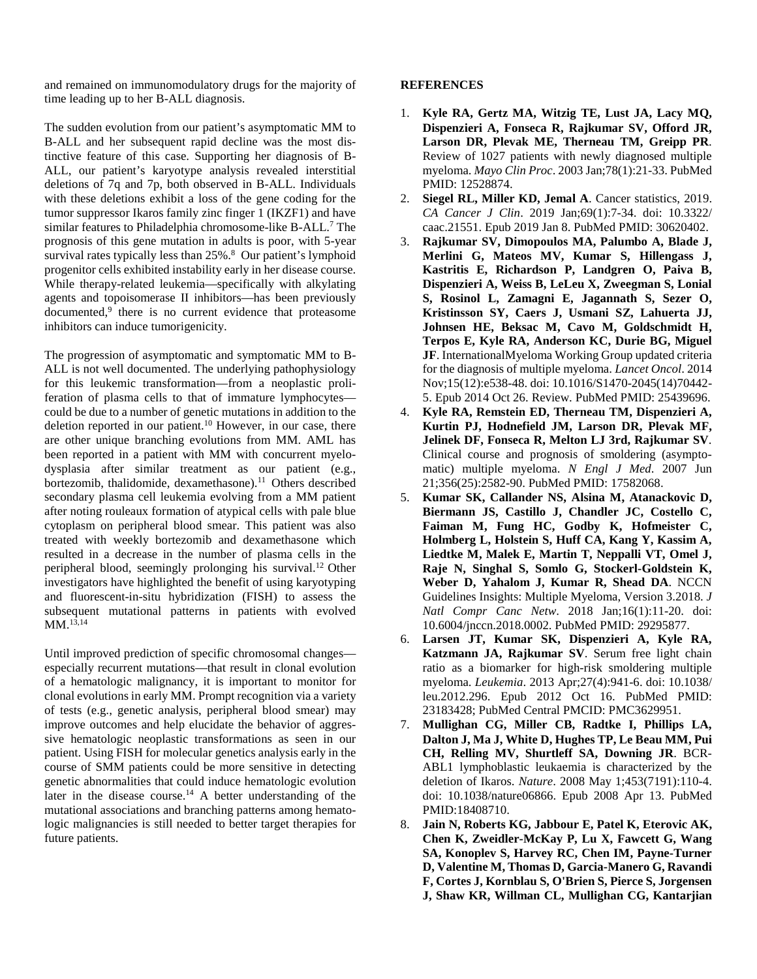and remained on immunomodulatory drugs for the majority of time leading up to her B-ALL diagnosis.

The sudden evolution from our patient's asymptomatic MM to B-ALL and her subsequent rapid decline was the most distinctive feature of this case. Supporting her diagnosis of B-ALL, our patient's karyotype analysis revealed interstitial deletions of 7q and 7p, both observed in B-ALL. Individuals with these deletions exhibit a loss of the gene coding for the tumor suppressor Ikaros family zinc finger 1 (IKZF1) and have similar features to Philadelphia chromosome-like B-ALL.<sup>7</sup> The prognosis of this gene mutation in adults is poor, with 5-year survival rates typically less than 25%.<sup>8</sup> Our patient's lymphoid progenitor cells exhibited instability early in her disease course. While therapy-related leukemia—specifically with alkylating agents and topoisomerase II inhibitors—has been previously documented,<sup>9</sup> there is no current evidence that proteasome inhibitors can induce tumorigenicity.

The progression of asymptomatic and symptomatic MM to B-ALL is not well documented. The underlying pathophysiology for this leukemic transformation—from a neoplastic proliferation of plasma cells to that of immature lymphocytes could be due to a number of genetic mutations in addition to the deletion reported in our patient.<sup>10</sup> However, in our case, there are other unique branching evolutions from MM. AML has been reported in a patient with MM with concurrent myelodysplasia after similar treatment as our patient (e.g., bortezomib, thalidomide, dexamethasone).<sup>11</sup> Others described secondary plasma cell leukemia evolving from a MM patient after noting rouleaux formation of atypical cells with pale blue cytoplasm on peripheral blood smear. This patient was also treated with weekly bortezomib and dexamethasone which resulted in a decrease in the number of plasma cells in the peripheral blood, seemingly prolonging his survival.12 Other investigators have highlighted the benefit of using karyotyping and fluorescent-in-situ hybridization (FISH) to assess the subsequent mutational patterns in patients with evolved MM.13,14

Until improved prediction of specific chromosomal changes especially recurrent mutations—that result in clonal evolution of a hematologic malignancy, it is important to monitor for clonal evolutions in early MM. Prompt recognition via a variety of tests (e.g., genetic analysis, peripheral blood smear) may improve outcomes and help elucidate the behavior of aggressive hematologic neoplastic transformations as seen in our patient. Using FISH for molecular genetics analysis early in the course of SMM patients could be more sensitive in detecting genetic abnormalities that could induce hematologic evolution later in the disease course.<sup>14</sup> A better understanding of the mutational associations and branching patterns among hematologic malignancies is still needed to better target therapies for future patients.

## **REFERENCES**

- 1. **Kyle RA, Gertz MA, Witzig TE, Lust JA, Lacy MQ, Dispenzieri A, Fonseca R, Rajkumar SV, Offord JR, Larson DR, Plevak ME, Therneau TM, Greipp PR**. Review of 1027 patients with newly diagnosed multiple myeloma. *Mayo Clin Proc*. 2003 Jan;78(1):21-33. PubMed PMID: 12528874.
- 2. **Siegel RL, Miller KD, Jemal A**. Cancer statistics, 2019. *CA Cancer J Clin*. 2019 Jan;69(1):7-34. doi: 10.3322/ caac.21551. Epub 2019 Jan 8. PubMed PMID: 30620402.
- 3. **Rajkumar SV, Dimopoulos MA, Palumbo A, Blade J, Merlini G, Mateos MV, Kumar S, Hillengass J, Kastritis E, Richardson P, Landgren O, Paiva B, Dispenzieri A, Weiss B, LeLeu X, Zweegman S, Lonial S, Rosinol L, Zamagni E, Jagannath S, Sezer O, Kristinsson SY, Caers J, Usmani SZ, Lahuerta JJ, Johnsen HE, Beksac M, Cavo M, Goldschmidt H, Terpos E, Kyle RA, Anderson KC, Durie BG, Miguel JF**. InternationalMyeloma Working Group updated criteria for the diagnosis of multiple myeloma. *Lancet Oncol*. 2014 Nov;15(12):e538-48. doi: 10.1016/S1470-2045(14)70442- 5. Epub 2014 Oct 26. Review. PubMed PMID: 25439696.
- 4. **Kyle RA, Remstein ED, Therneau TM, Dispenzieri A, Kurtin PJ, Hodnefield JM, Larson DR, Plevak MF, Jelinek DF, Fonseca R, Melton LJ 3rd, Rajkumar SV**. Clinical course and prognosis of smoldering (asymptomatic) multiple myeloma. *N Engl J Med*. 2007 Jun 21;356(25):2582-90. PubMed PMID: 17582068.
- 5. **Kumar SK, Callander NS, Alsina M, Atanackovic D, Biermann JS, Castillo J, Chandler JC, Costello C, Faiman M, Fung HC, Godby K, Hofmeister C, Holmberg L, Holstein S, Huff CA, Kang Y, Kassim A, Liedtke M, Malek E, Martin T, Neppalli VT, Omel J, Raje N, Singhal S, Somlo G, Stockerl-Goldstein K, Weber D, Yahalom J, Kumar R, Shead DA**. NCCN Guidelines Insights: Multiple Myeloma, Version 3.2018. *J Natl Compr Canc Netw*. 2018 Jan;16(1):11-20. doi: 10.6004/jnccn.2018.0002. PubMed PMID: 29295877.
- 6. **Larsen JT, Kumar SK, Dispenzieri A, Kyle RA, Katzmann JA, Rajkumar SV**. Serum free light chain ratio as a biomarker for high-risk smoldering multiple myeloma. *Leukemia*. 2013 Apr;27(4):941-6. doi: 10.1038/ leu.2012.296. Epub 2012 Oct 16. PubMed PMID: 23183428; PubMed Central PMCID: PMC3629951.
- 7. **Mullighan CG, Miller CB, Radtke I, Phillips LA, Dalton J, Ma J, White D, Hughes TP, Le Beau MM, Pui CH, Relling MV, Shurtleff SA, Downing JR**. BCR-ABL1 lymphoblastic leukaemia is characterized by the deletion of Ikaros. *Nature*. 2008 May 1;453(7191):110-4. doi: 10.1038/nature06866. Epub 2008 Apr 13. PubMed PMID:18408710.
- 8. **Jain N, Roberts KG, Jabbour E, Patel K, Eterovic AK, Chen K, Zweidler-McKay P, Lu X, Fawcett G, Wang SA, Konoplev S, Harvey RC, Chen IM, Payne-Turner D, Valentine M, Thomas D, Garcia-Manero G, Ravandi F, Cortes J, Kornblau S, O'Brien S, Pierce S, Jorgensen J, Shaw KR, Willman CL, Mullighan CG, Kantarjian**